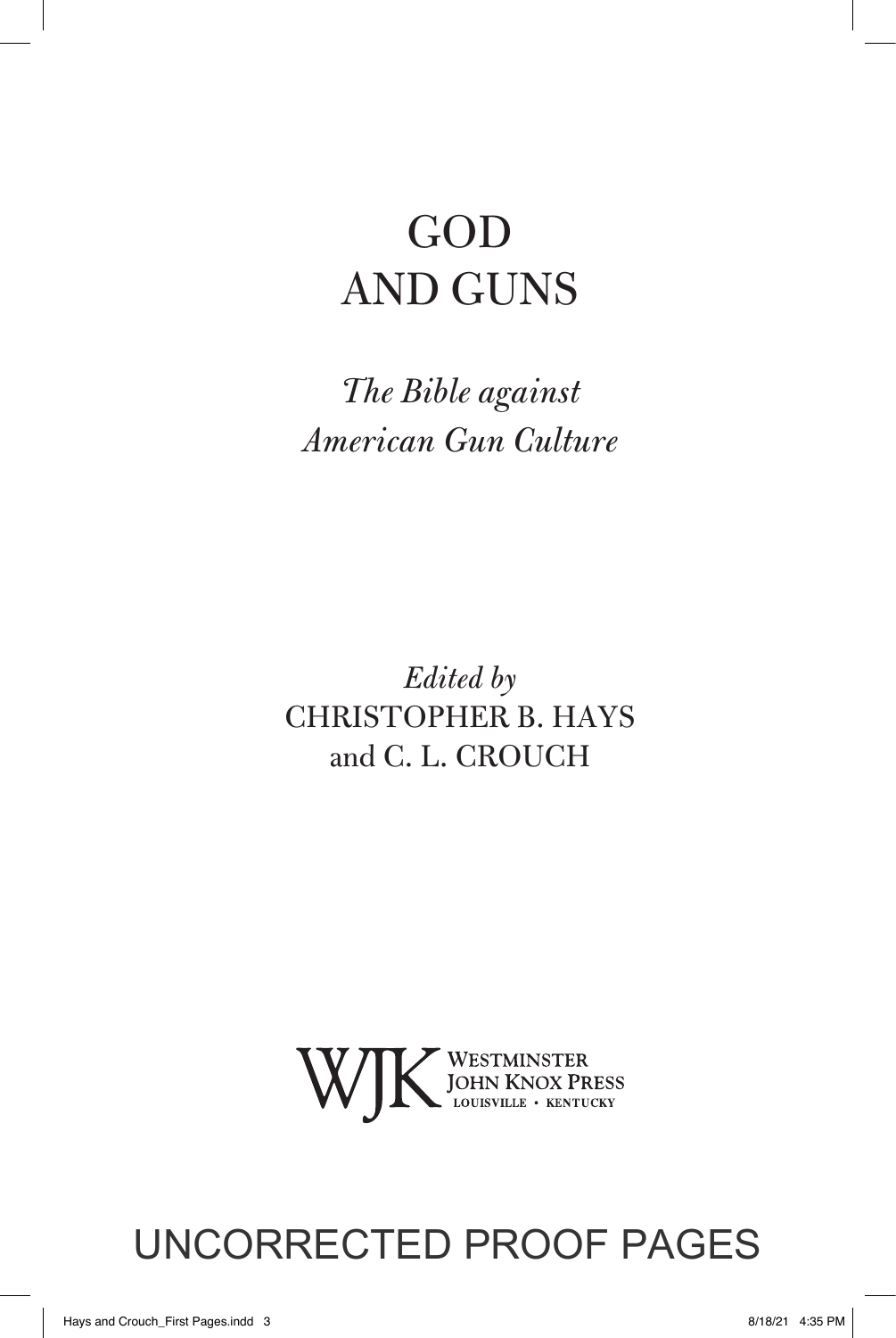# GOD AND GUNS

*The Bible against American Gun Culture*

*Edited by* CHRISTOPHER B. HAYS and C. L. CROUCH

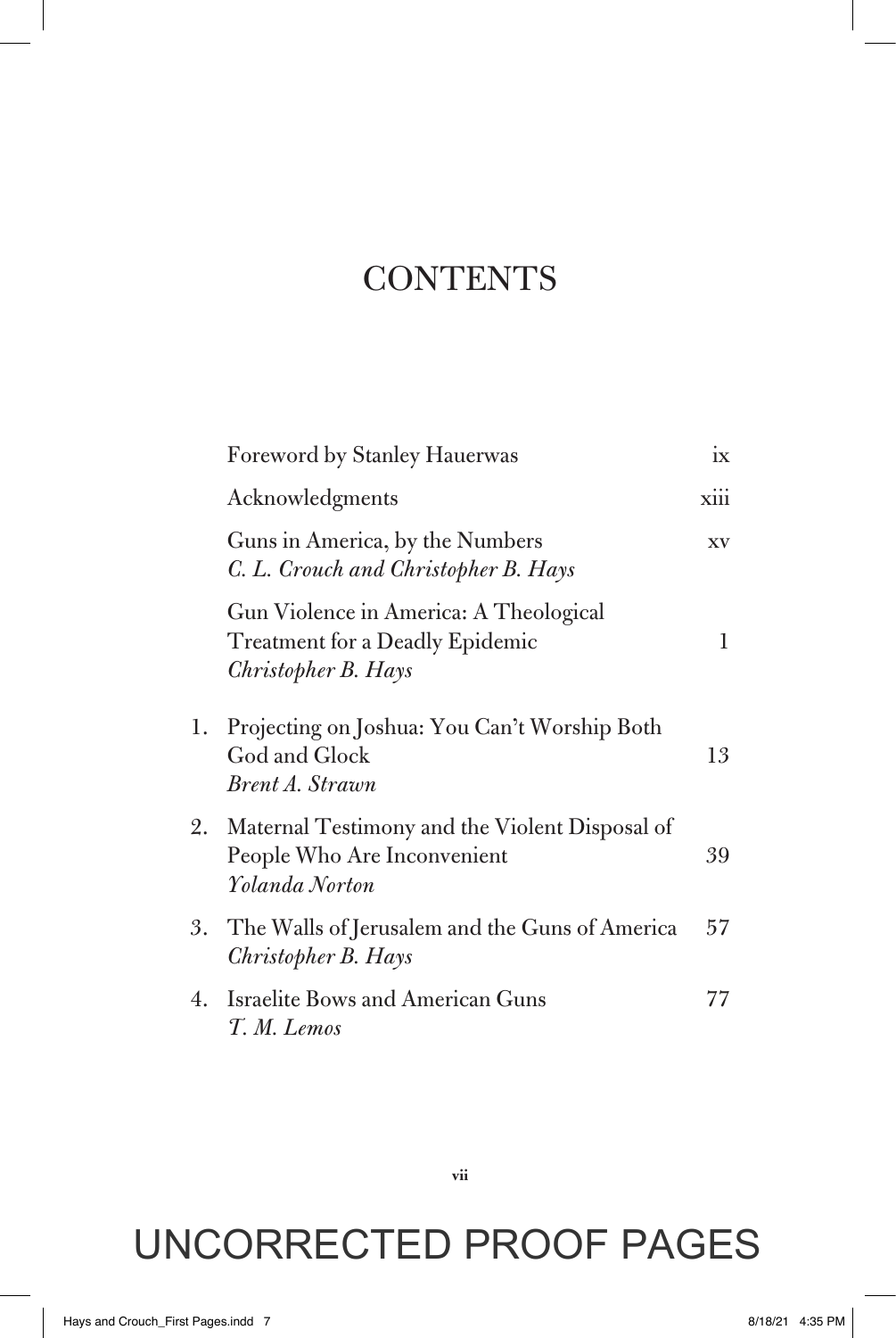### **CONTENTS**

|    | <b>Foreword by Stanley Hauerwas</b>                                                                     | ix   |
|----|---------------------------------------------------------------------------------------------------------|------|
|    | Acknowledgments                                                                                         | xiii |
|    | Guns in America, by the Numbers<br>C. L. Crouch and Christopher B. Hays                                 | XV   |
|    | Gun Violence in America: A Theological<br><b>Treatment for a Deadly Epidemic</b><br>Christopher B. Hays | 1    |
| 1. | Projecting on Joshua: You Can't Worship Both<br>God and Glock<br>Brent A. Strawn                        | 13   |
| 2. | Maternal Testimony and the Violent Disposal of<br>People Who Are Inconvenient<br>Yolanda Norton         | 39   |
| 3. | The Walls of Jerusalem and the Guns of America<br>Christopher B. Hays                                   | 57   |
|    | 4. Israelite Bows and American Guns<br>T. M. Lemos                                                      | 77   |

UNCORRECTED PROOF PAGES

**vii**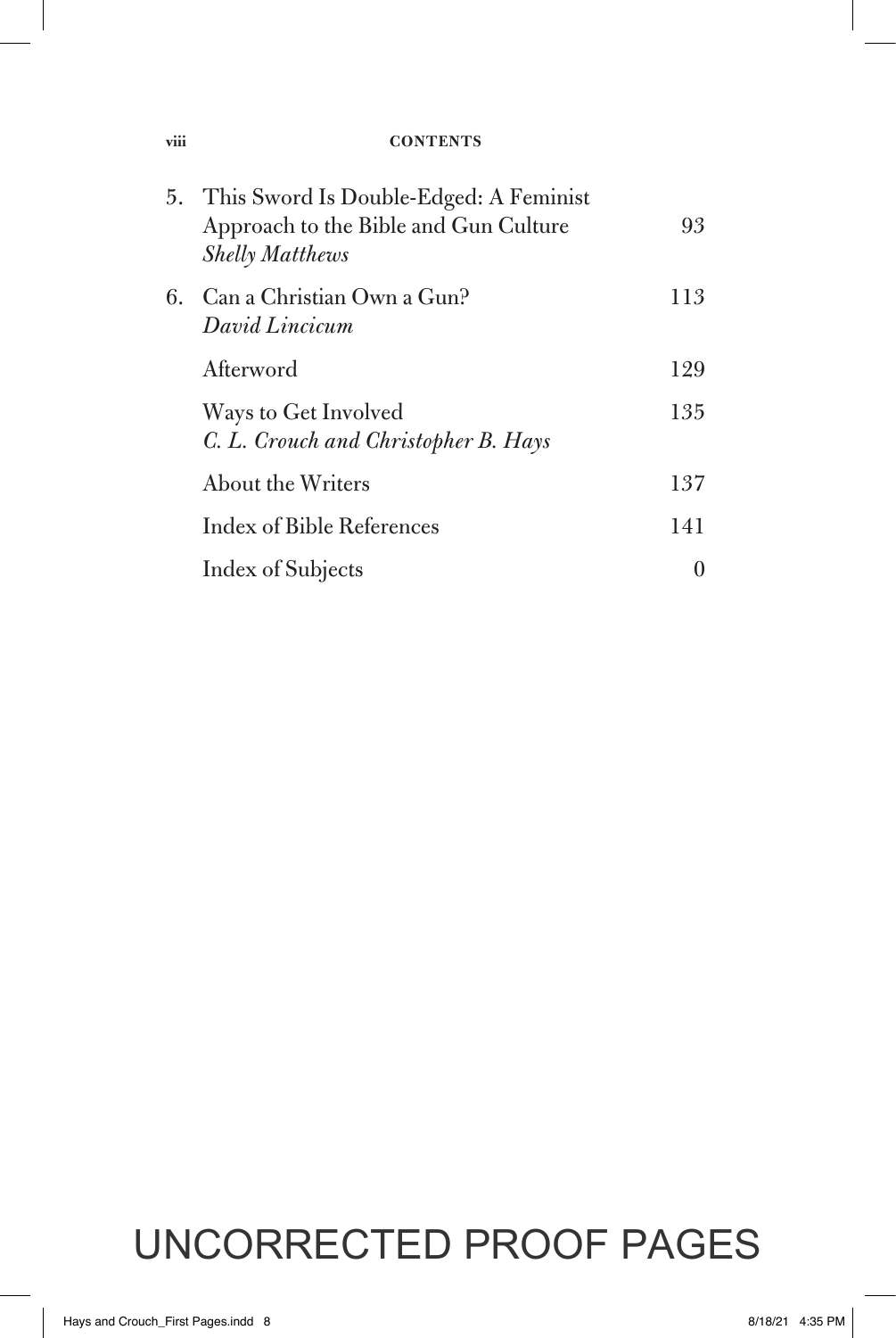#### **viii Contents**

|    | 5. This Sword Is Double-Edged: A Feminist<br>Approach to the Bible and Gun Culture<br><b>Shelly Matthews</b> | 93  |
|----|--------------------------------------------------------------------------------------------------------------|-----|
| 6. | Can a Christian Own a Gun?<br>David Lincicum                                                                 | 113 |
|    | Afterword                                                                                                    | 129 |
|    | Ways to Get Involved<br>C. L. Crouch and Christopher B. Hays                                                 | 135 |
|    | About the Writers                                                                                            | 137 |
|    | <b>Index of Bible References</b>                                                                             | 141 |
|    | Index of Subjects                                                                                            |     |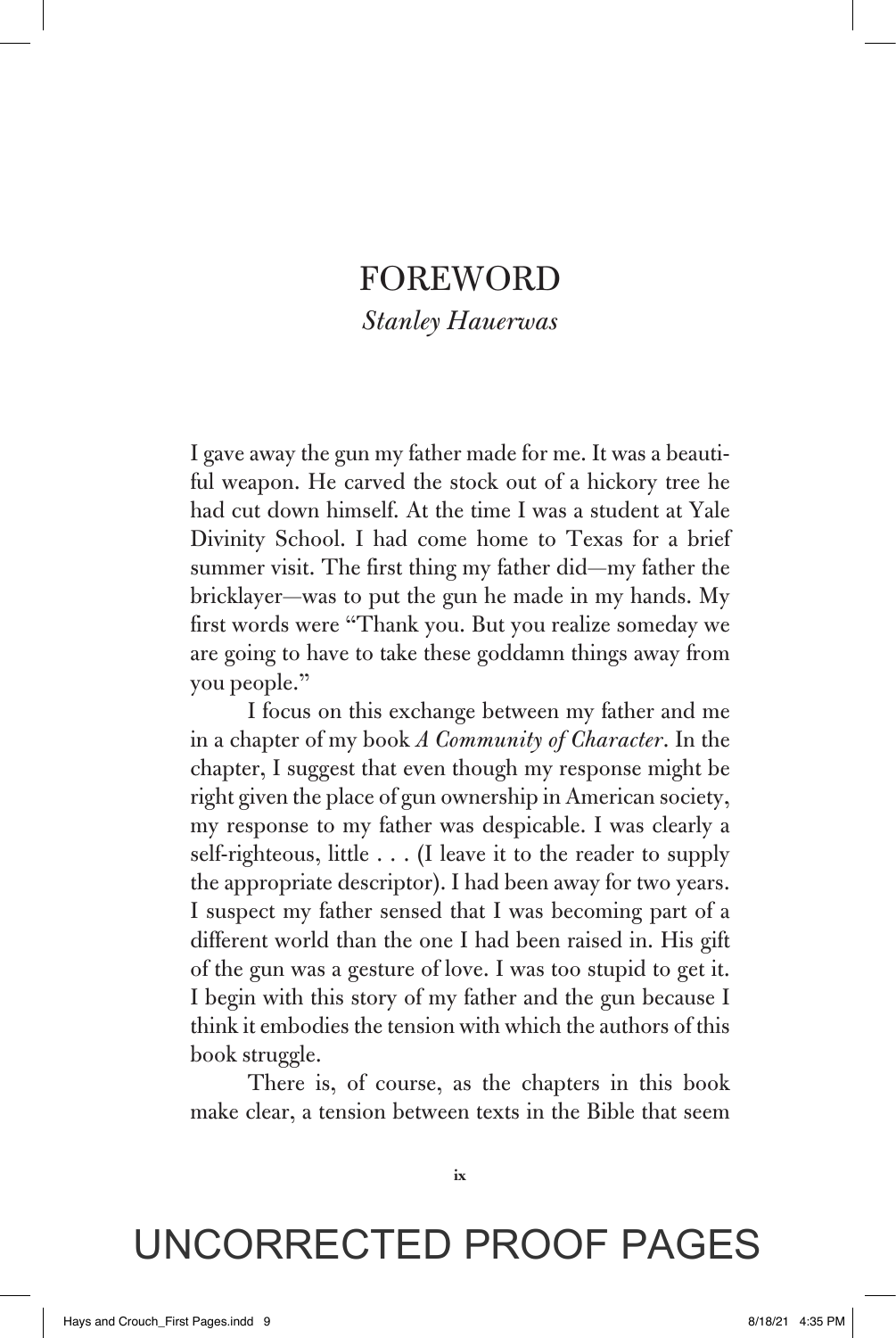### FOREWORD *Stanley Hauerwas*

I gave away the gun my father made for me. It was a beautiful weapon. He carved the stock out of a hickory tree he had cut down himself. At the time I was a student at Yale Divinity School. I had come home to Texas for a brief summer visit. The first thing my father did—my father the bricklayer—was to put the gun he made in my hands. My first words were "Thank you. But you realize someday we are going to have to take these goddamn things away from you people."

I focus on this exchange between my father and me in a chapter of my book *A Community of Character*. In the chapter, I suggest that even though my response might be right given the place of gun ownership in American society, my response to my father was despicable. I was clearly a self-righteous, little . . . (I leave it to the reader to supply the appropriate descriptor). I had been away for two years. I suspect my father sensed that I was becoming part of a different world than the one I had been raised in. His gift of the gun was a gesture of love. I was too stupid to get it. I begin with this story of my father and the gun because I think it embodies the tension with which the authors of this book struggle.

There is, of course, as the chapters in this book make clear, a tension between texts in the Bible that seem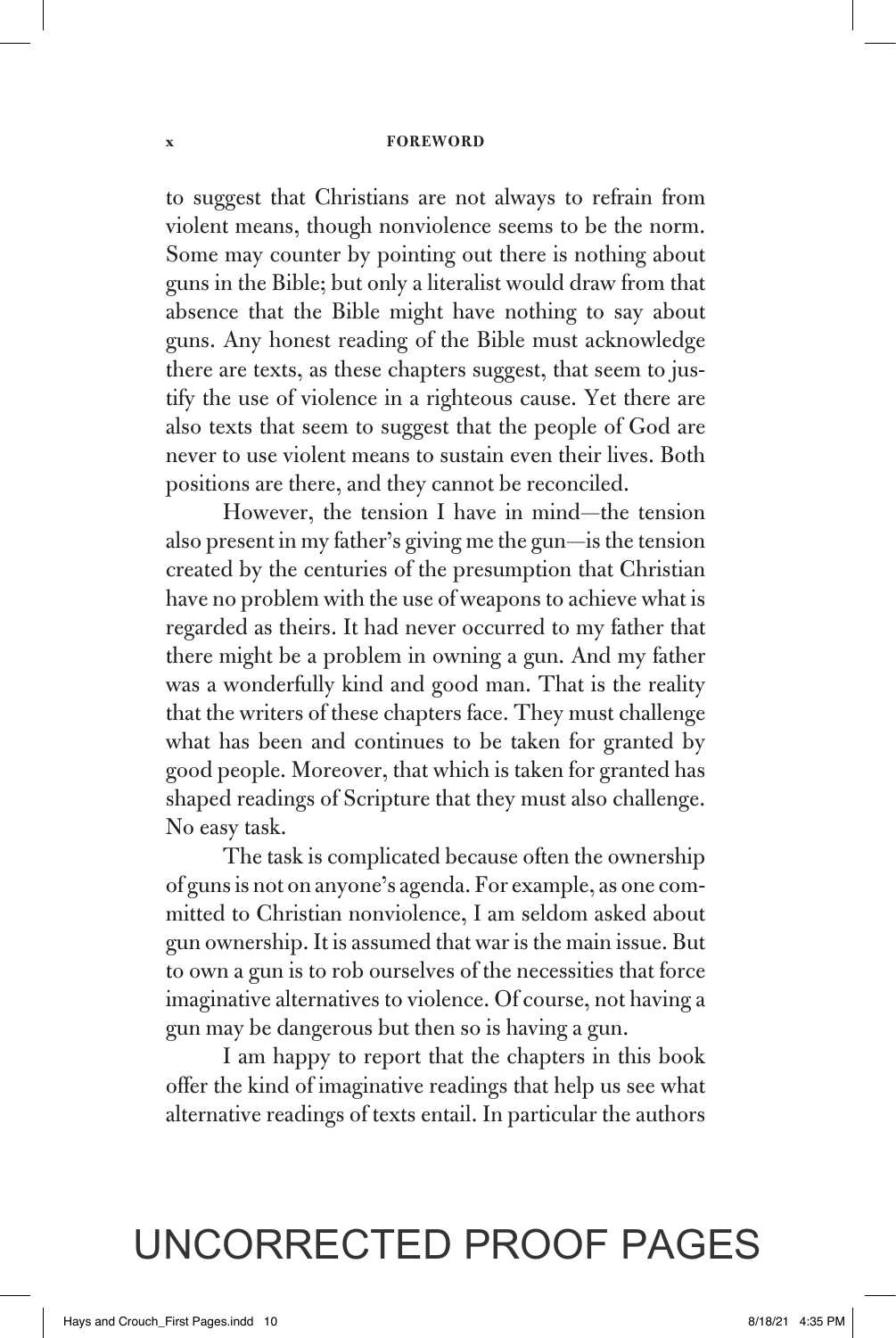#### **x Foreword**

to suggest that Christians are not always to refrain from violent means, though nonviolence seems to be the norm. Some may counter by pointing out there is nothing about guns in the Bible; but only a literalist would draw from that absence that the Bible might have nothing to say about guns. Any honest reading of the Bible must acknowledge there are texts, as these chapters suggest, that seem to justify the use of violence in a righteous cause. Yet there are also texts that seem to suggest that the people of God are never to use violent means to sustain even their lives. Both positions are there, and they cannot be reconciled.

However, the tension I have in mind—the tension also present in my father's giving me the gun—is the tension created by the centuries of the presumption that Christian have no problem with the use of weapons to achieve what is regarded as theirs. It had never occurred to my father that there might be a problem in owning a gun. And my father was a wonderfully kind and good man. That is the reality that the writers of these chapters face. They must challenge what has been and continues to be taken for granted by good people. Moreover, that which is taken for granted has shaped readings of Scripture that they must also challenge. No easy task.

The task is complicated because often the ownership of guns is not on anyone's agenda. For example, as one committed to Christian nonviolence, I am seldom asked about gun ownership. It is assumed that war is the main issue. But to own a gun is to rob ourselves of the necessities that force imaginative alternatives to violence. Of course, not having a gun may be dangerous but then so is having a gun.

I am happy to report that the chapters in this book offer the kind of imaginative readings that help us see what alternative readings of texts entail. In particular the authors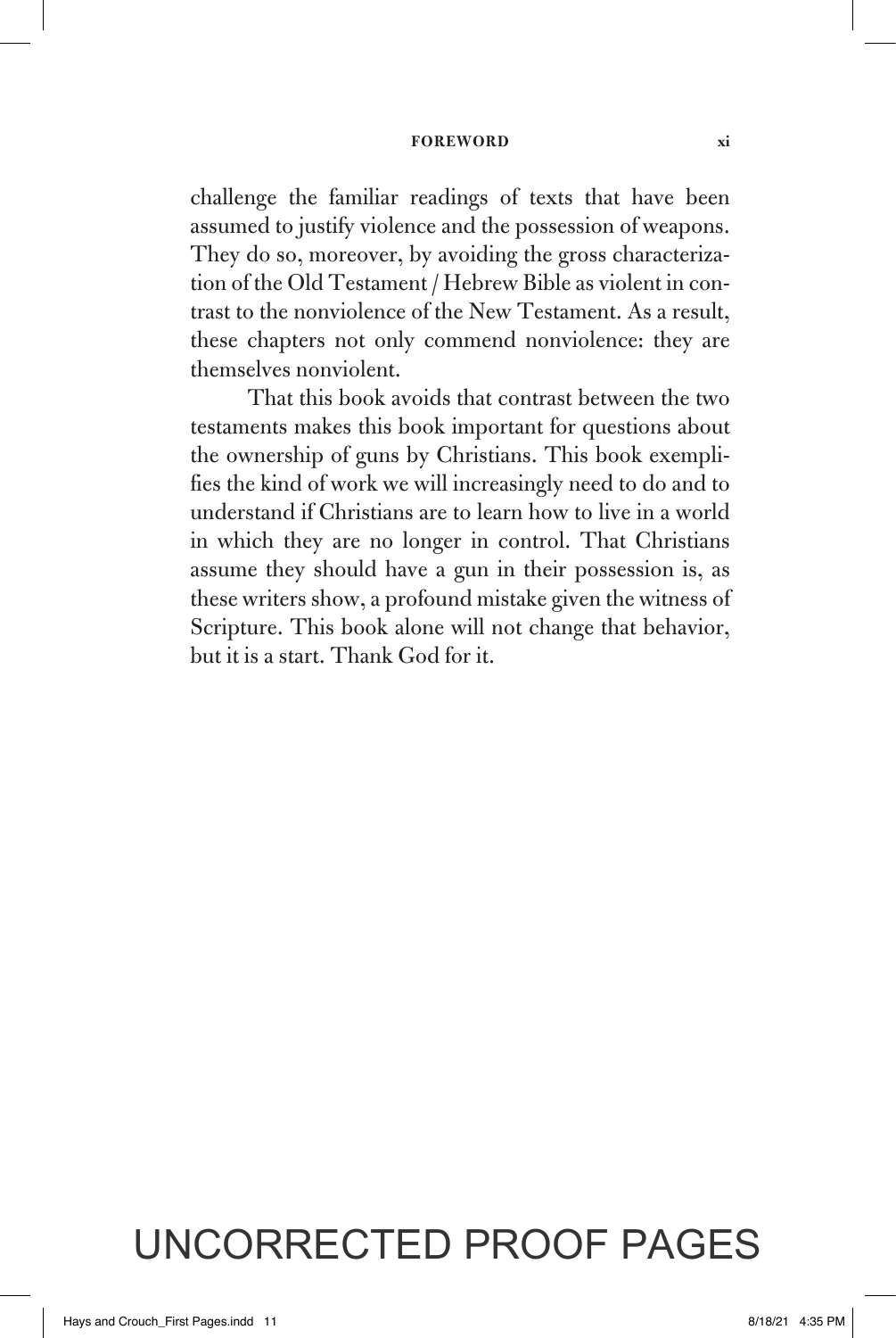#### **Foreword xi**

challenge the familiar readings of texts that have been assumed to justify violence and the possession of weapons. They do so, moreover, by avoiding the gross characterization of the Old Testament / Hebrew Bible as violent in contrast to the nonviolence of the New Testament. As a result, these chapters not only commend nonviolence: they are themselves nonviolent.

That this book avoids that contrast between the two testaments makes this book important for questions about the ownership of guns by Christians. This book exemplifies the kind of work we will increasingly need to do and to understand if Christians are to learn how to live in a world in which they are no longer in control. That Christians assume they should have a gun in their possession is, as these writers show, a profound mistake given the witness of Scripture. This book alone will not change that behavior, but it is a start. Thank God for it.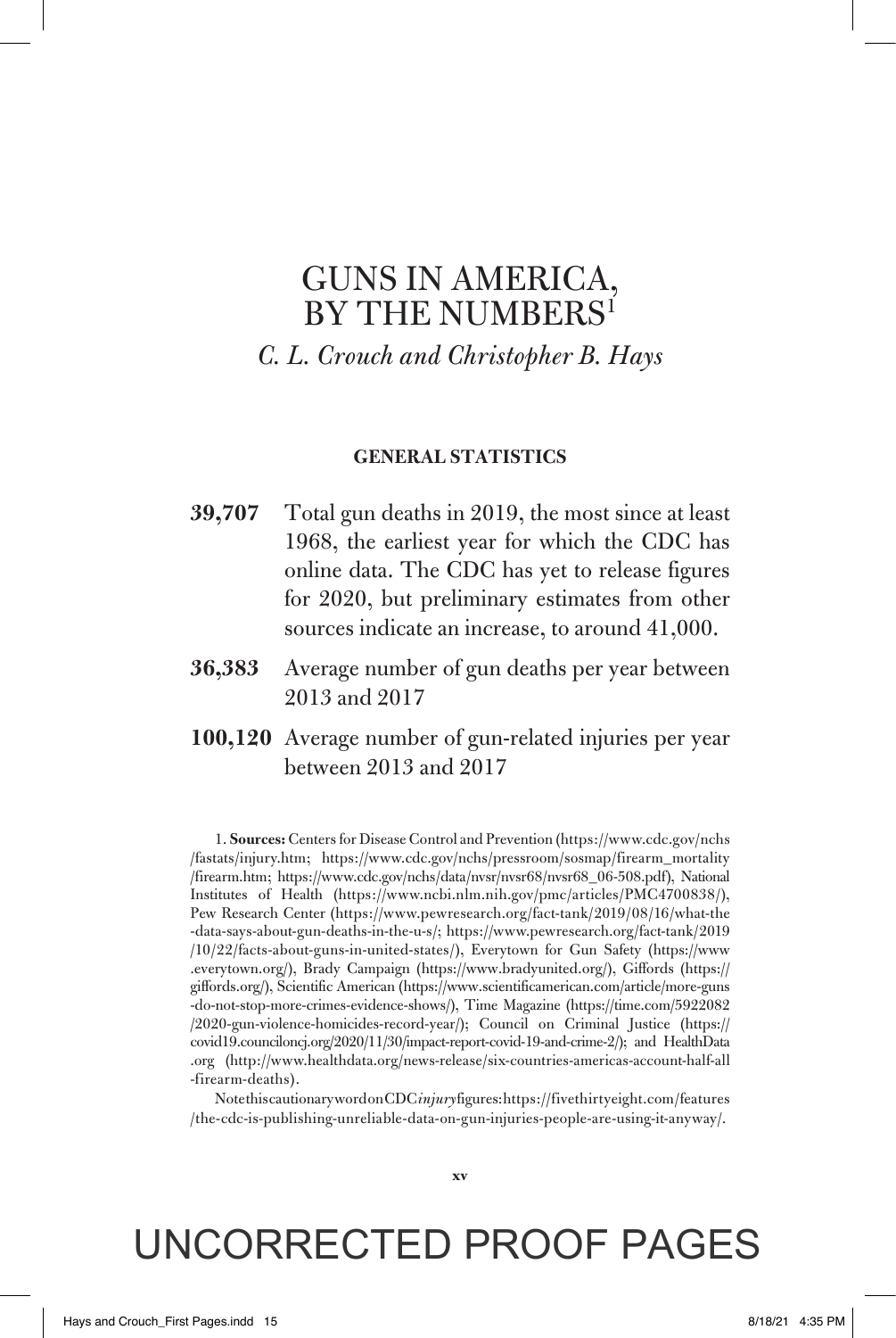### GUNS IN AMERICA, BY THE NUMBERS<sup>1</sup>

### *C. L. Crouch and Christopher B. Hays*

#### **GENERAL STATISTICS**

- **39,707** Total gun deaths in 2019, the most since at least 1968, the earliest year for which the CDC has online data. The CDC has yet to release figures for 2020, but preliminary estimates from other sources indicate an increase, to around 41,000.
- **36,383** Average number of gun deaths per year between 2013 and 2017
- **100,120** Average number of gun-related injuries per year between 2013 and 2017

1. **Sources:** Centers for Disease Control and Prevention (https://www.cdc.gov/nchs /fastats/injury.htm; https://www.cdc.gov/nchs/pressroom/sosmap/firearm\_mortality /firearm.htm; https://www.cdc.gov/nchs/data/nvsr/nvsr68/nvsr68\_06-508.pdf), National Institutes of Health (https://www.ncbi.nlm.nih.gov/pmc/articles/PMC4700838/), Pew Research Center (https://www.pewresearch.org/fact-tank/2019/08/16/what-the -data-says-about-gun-deaths-in-the-u-s/; https://www.pewresearch.org/fact-tank/2019 /10/22/facts-about-guns-in-united-states/), Everytown for Gun Safety (https://www .everytown.org/), Brady Campaign (https://www.bradyunited.org/), Giffords (https:// giffords.org/), Scientific American (https://www.scientificamerican.com/article/more-guns -do-not-stop-more-crimes-evidence-shows/), Time Magazine (https://time.com/5922082 /2020-gun-violence-homicides-record-year/); Council on Criminal Justice (https:// covid19.counciloncj.org/2020/11/30/impact-report-covid-19-and-crime-2/); and HealthData .org (http://www.healthdata.org/news-release/six-countries-americas-account-half-all -firearm-deaths).

Note this cautionary word on CDC *injury* figures: https://fivethirtyeight.com/features /the-cdc-is-publishing-unreliable-data-on-gun-injuries-people-are-using-it-anyway/.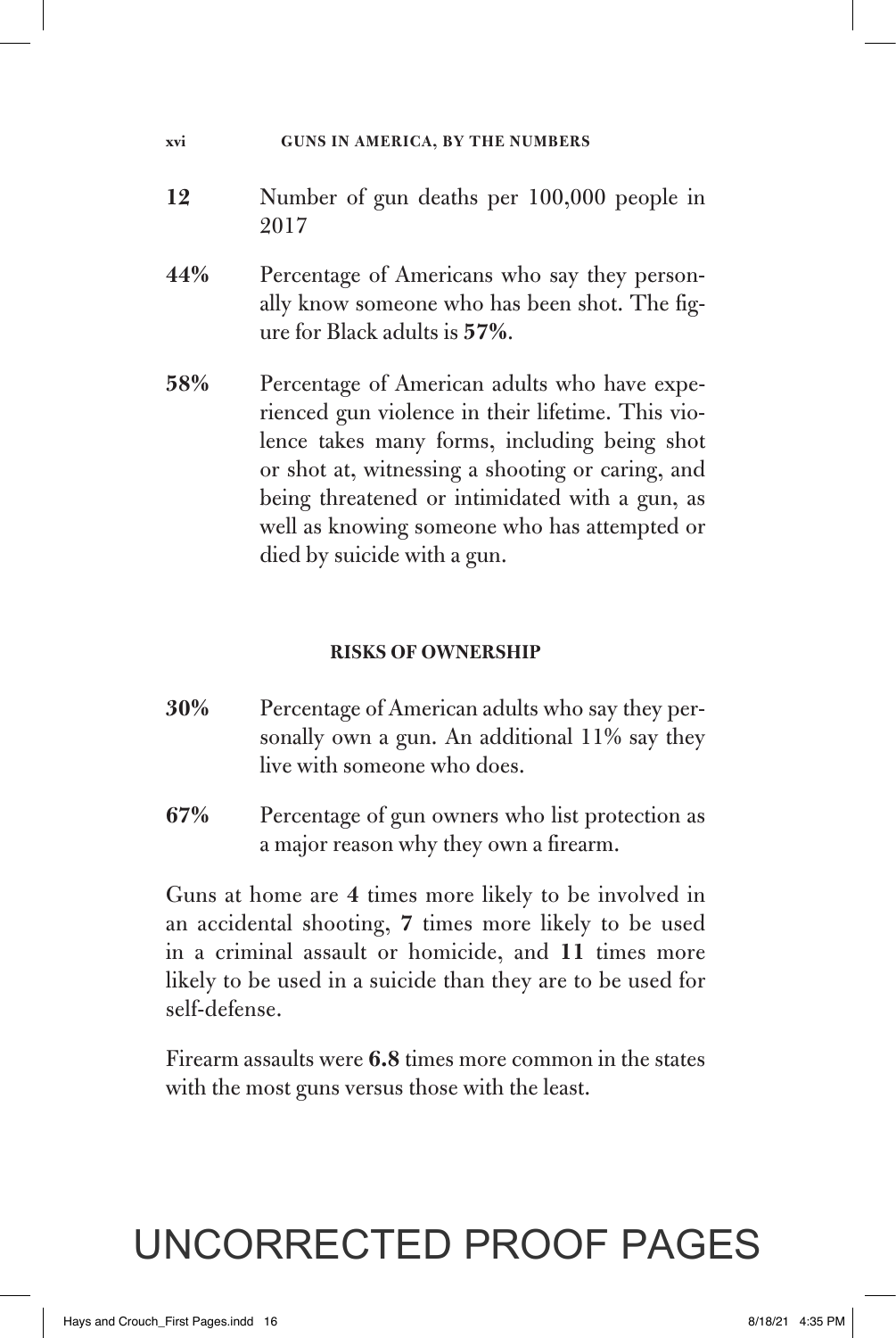#### **xvi Guns in America, by the Numbers**

- **12** Number of gun deaths per 100,000 people in 2017
- **44%** Percentage of Americans who say they personally know someone who has been shot. The figure for Black adults is **57%**.
- **58%** Percentage of American adults who have experienced gun violence in their lifetime. This violence takes many forms, including being shot or shot at, witnessing a shooting or caring, and being threatened or intimidated with a gun, as well as knowing someone who has attempted or died by suicide with a gun.

#### **RISKS OF OWNERSHIP**

- **30%** Percentage of American adults who say they personally own a gun. An additional 11% say they live with someone who does.
- **67%** Percentage of gun owners who list protection as a major reason why they own a firearm.

Guns at home are **4** times more likely to be involved in an accidental shooting, **7** times more likely to be used in a criminal assault or homicide, and **11** times more likely to be used in a suicide than they are to be used for self-defense.

Firearm assaults were **6.8** times more common in the states with the most guns versus those with the least.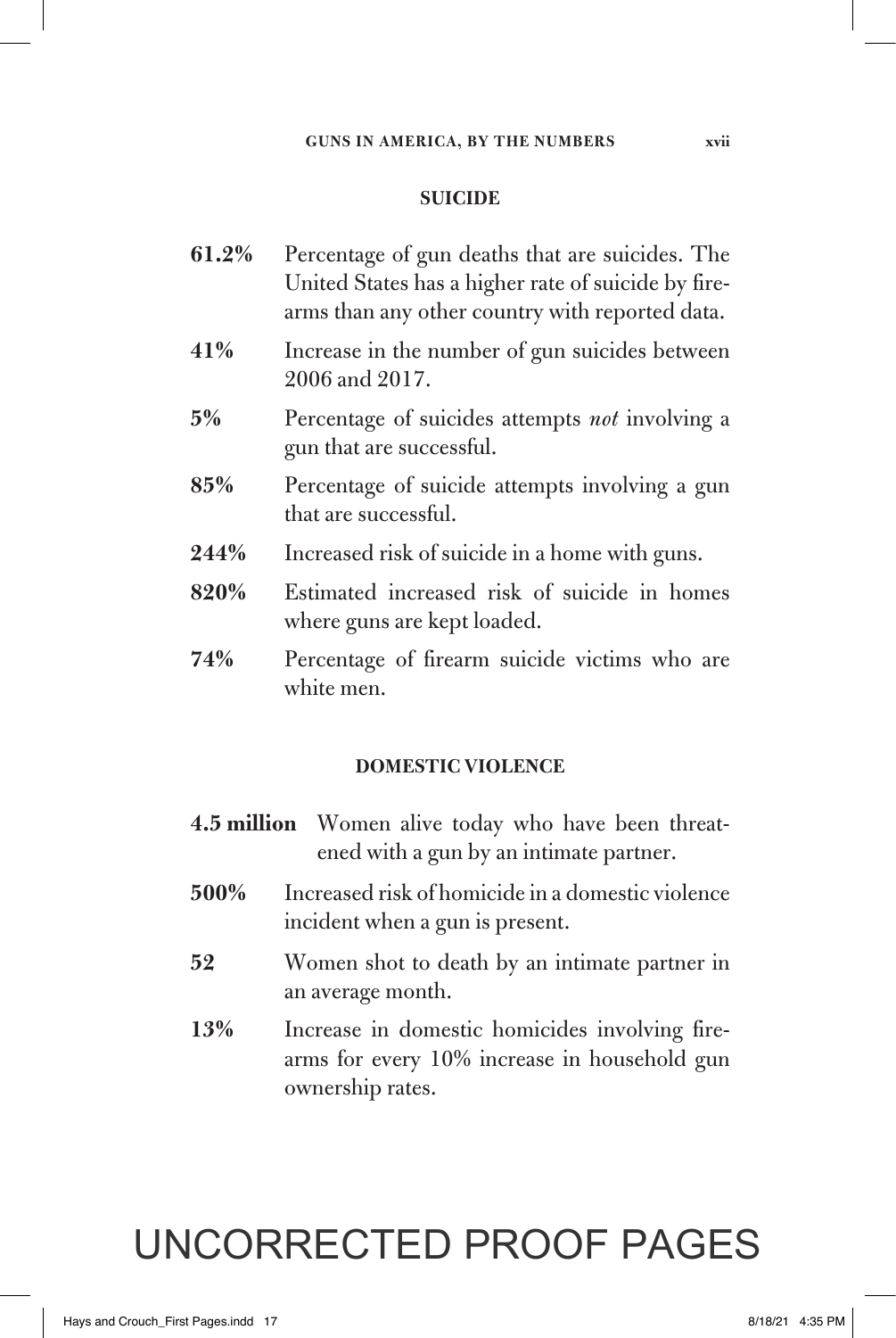#### **SUICIDE**

- **61.2%** Percentage of gun deaths that are suicides. The United States has a higher rate of suicide by firearms than any other country with reported data. **41%** Increase in the number of gun suicides between 2006 and 2017. **5%** Percentage of suicides attempts *not* involving a gun that are successful. **85%** Percentage of suicide attempts involving a gun that are successful. **244%** Increased risk of suicide in a home with guns. **820%** Estimated increased risk of suicide in homes where guns are kept loaded.
- **74%** Percentage of firearm suicide victims who are white men.

### **DOMESTIC VIOLENCE**

- **4.5 million** Women alive today who have been threatened with a gun by an intimate partner.
- **500%** Increased risk of homicide in a domestic violence incident when a gun is present.
- **52** Women shot to death by an intimate partner in an average month.
- **13%** Increase in domestic homicides involving firearms for every 10% increase in household gun ownership rates.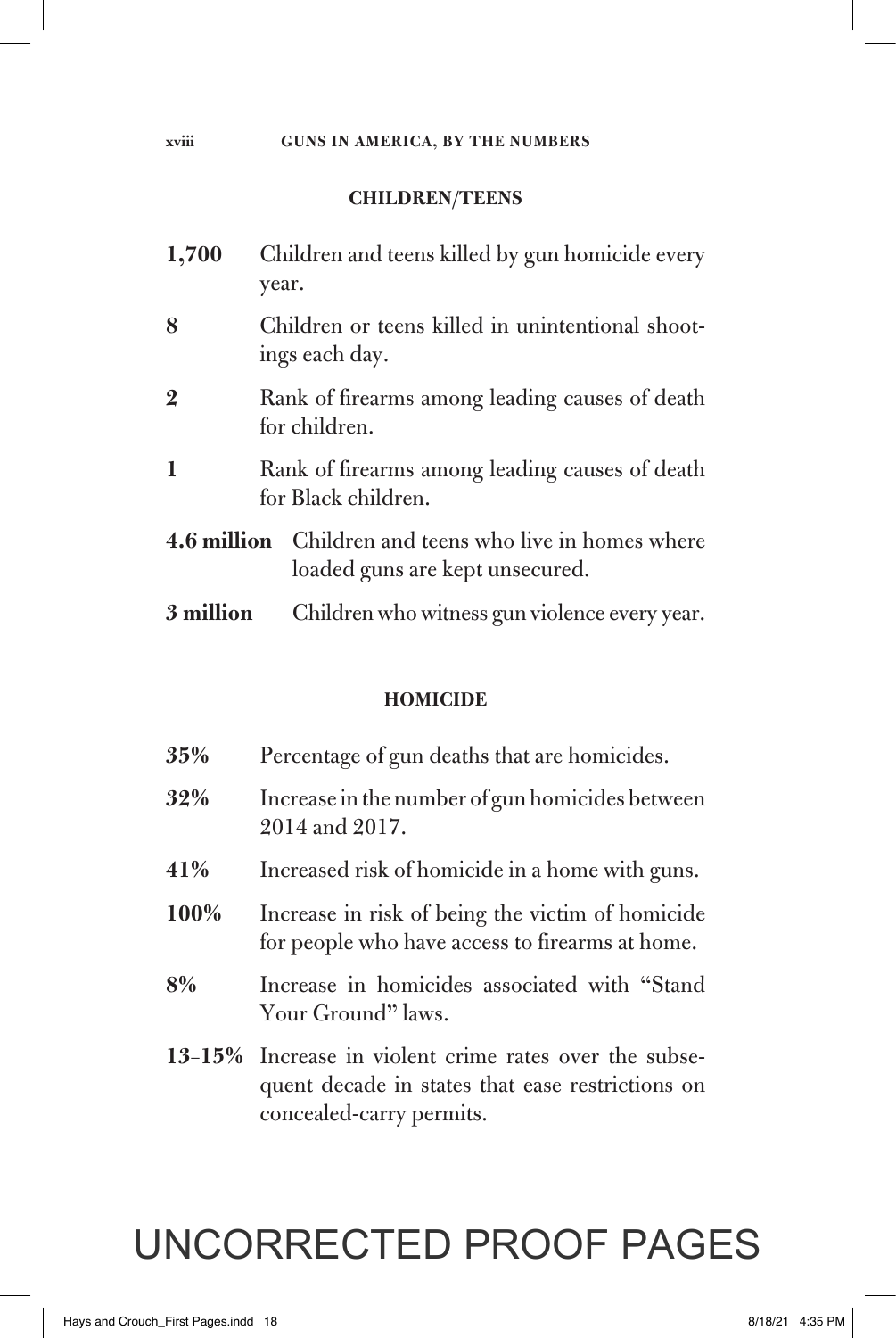#### **xviii Guns in America, by the Numbers**

### **CHILDREN/TEENS**

| 1,700          | Children and teens killed by gun homicide every<br>year.                                         |
|----------------|--------------------------------------------------------------------------------------------------|
| 8              | Children or teens killed in unintentional shoot-<br>ings each day.                               |
| $\overline{2}$ | Rank of firearms among leading causes of death<br>for children.                                  |
| $\mathbf{1}$   | Rank of firearms among leading causes of death<br>for Black children.                            |
|                | <b>4.6 million</b> Children and teens who live in homes where<br>loaded guns are kept unsecured. |
| 3 million      | Children who witness gun violence every year.                                                    |

#### **HOMICIDE**

| 35%  | Percentage of gun deaths that are homicides.                                                                                           |
|------|----------------------------------------------------------------------------------------------------------------------------------------|
| 32%  | Increase in the number of gun homicides between<br>2014 and 2017.                                                                      |
| 41%  | Increased risk of homicide in a home with guns.                                                                                        |
| 100% | Increase in risk of being the victim of homicide<br>for people who have access to firearms at home.                                    |
| 8%   | Increase in homicides associated with "Stand<br>Your Ground" laws.                                                                     |
|      | 13-15% Increase in violent crime rates over the subse-<br>quent decade in states that ease restrictions on<br>concealed-carry permits. |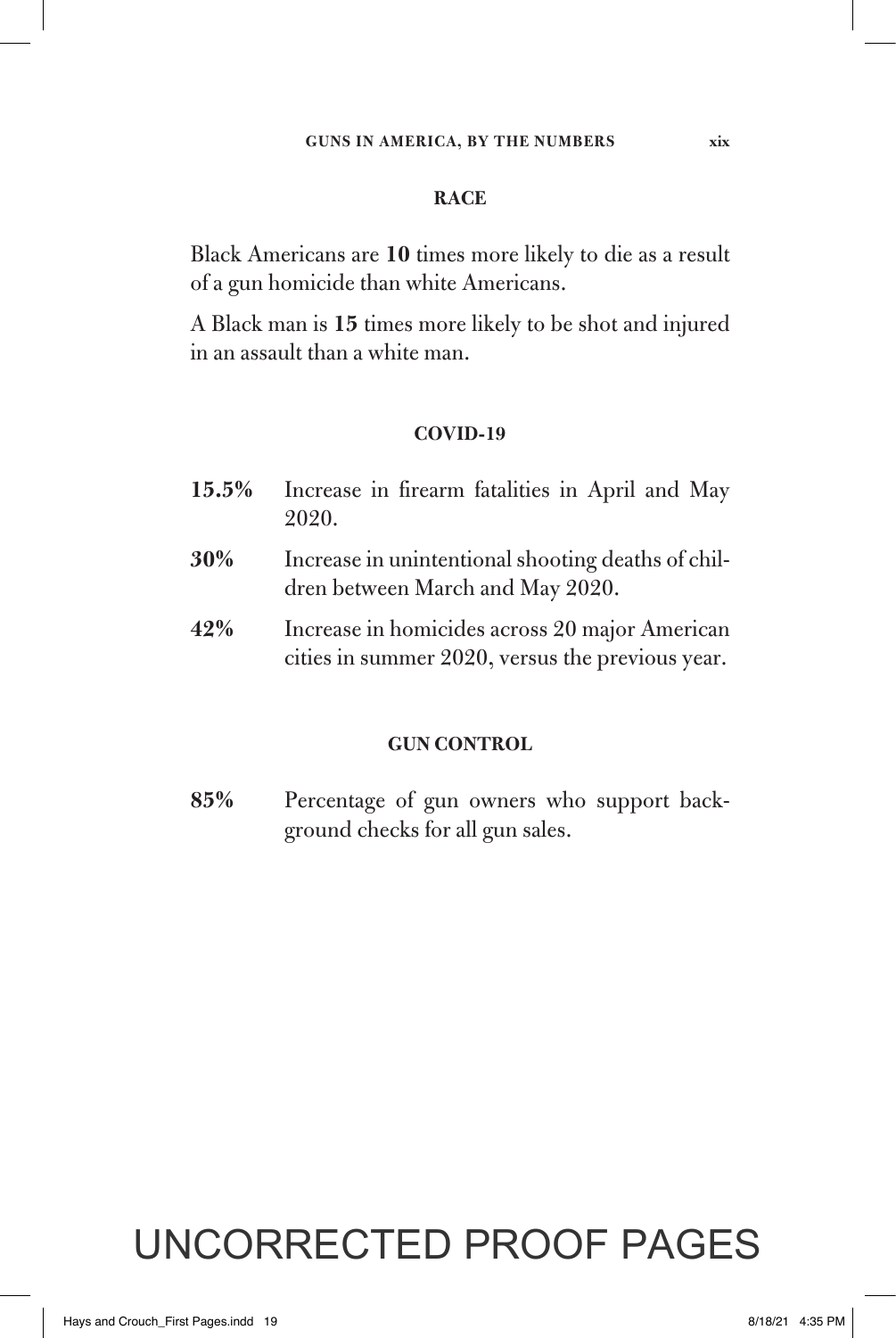#### **RACE**

Black Americans are **10** times more likely to die as a result of a gun homicide than white Americans.

A Black man is **15** times more likely to be shot and injured in an assault than a white man.

#### **COVID-19**

| $15.5\%$ | Increase in firearm fatalities in April and May<br>2020.                                           |
|----------|----------------------------------------------------------------------------------------------------|
| 30%      | Increase in unintentional shooting deaths of chil-<br>dren between March and May 2020.             |
| 42%      | Increase in homicides across 20 major American<br>cities in summer 2020, versus the previous year. |

#### **GUN CONTROL**

**85%** Percentage of gun owners who support background checks for all gun sales.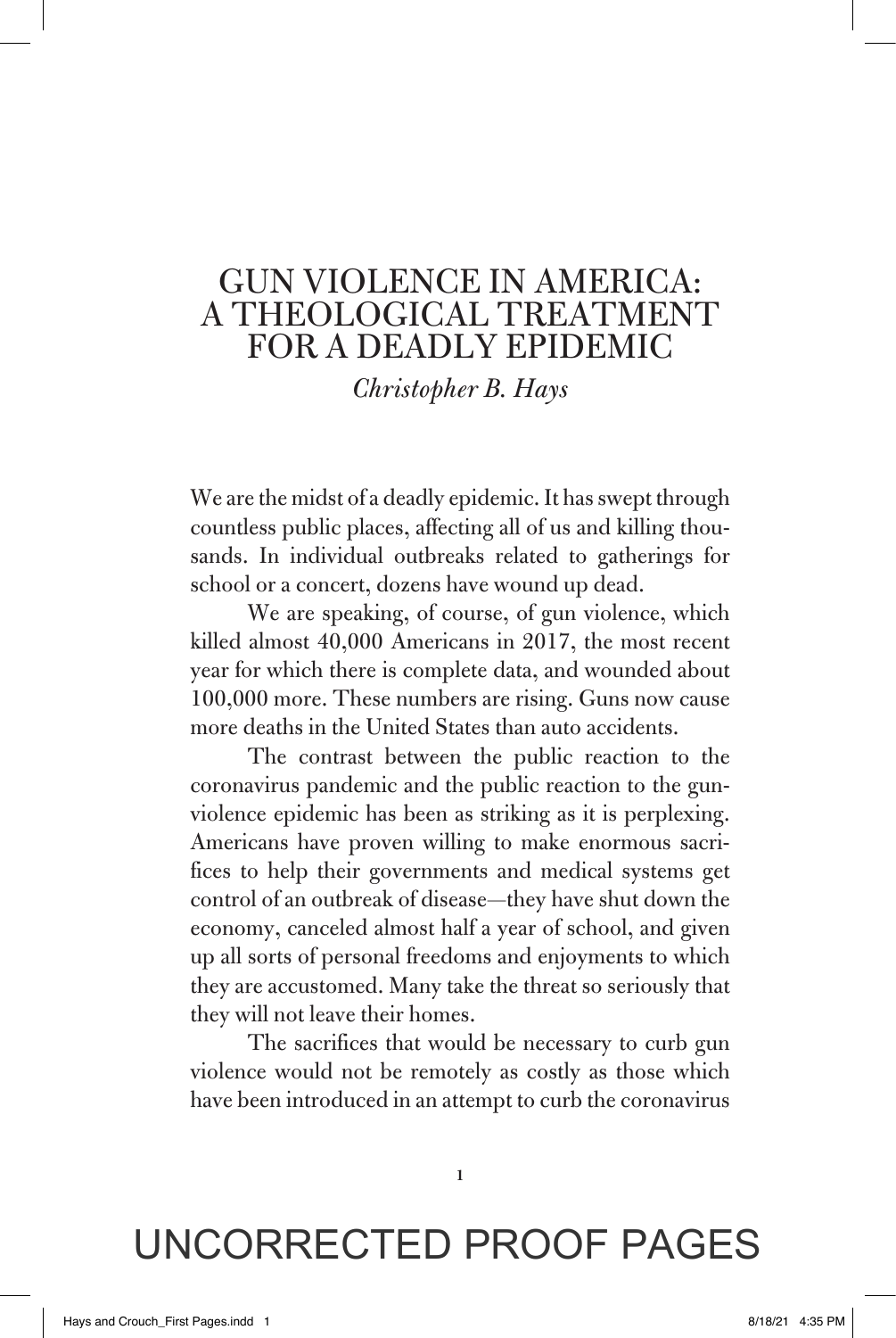### GUN VIOLENCE IN AMERICA: A THEOLOGICAL TREATMENT FOR A DEADLY EPIDEMIC

*Christopher B. Hays*

We are the midst of a deadly epidemic. It has swept through countless public places, affecting all of us and killing thousands. In individual outbreaks related to gatherings for school or a concert, dozens have wound up dead.

We are speaking, of course, of gun violence, which killed almost 40,000 Americans in 2017, the most recent year for which there is complete data, and wounded about 100,000 more. These numbers are rising. Guns now cause more deaths in the United States than auto accidents.

The contrast between the public reaction to the coronavirus pandemic and the public reaction to the gunviolence epidemic has been as striking as it is perplexing. Americans have proven willing to make enormous sacrifices to help their governments and medical systems get control of an outbreak of disease—they have shut down the economy, canceled almost half a year of school, and given up all sorts of personal freedoms and enjoyments to which they are accustomed. Many take the threat so seriously that they will not leave their homes.

The sacrifices that would be necessary to curb gun violence would not be remotely as costly as those which have been introduced in an attempt to curb the coronavirus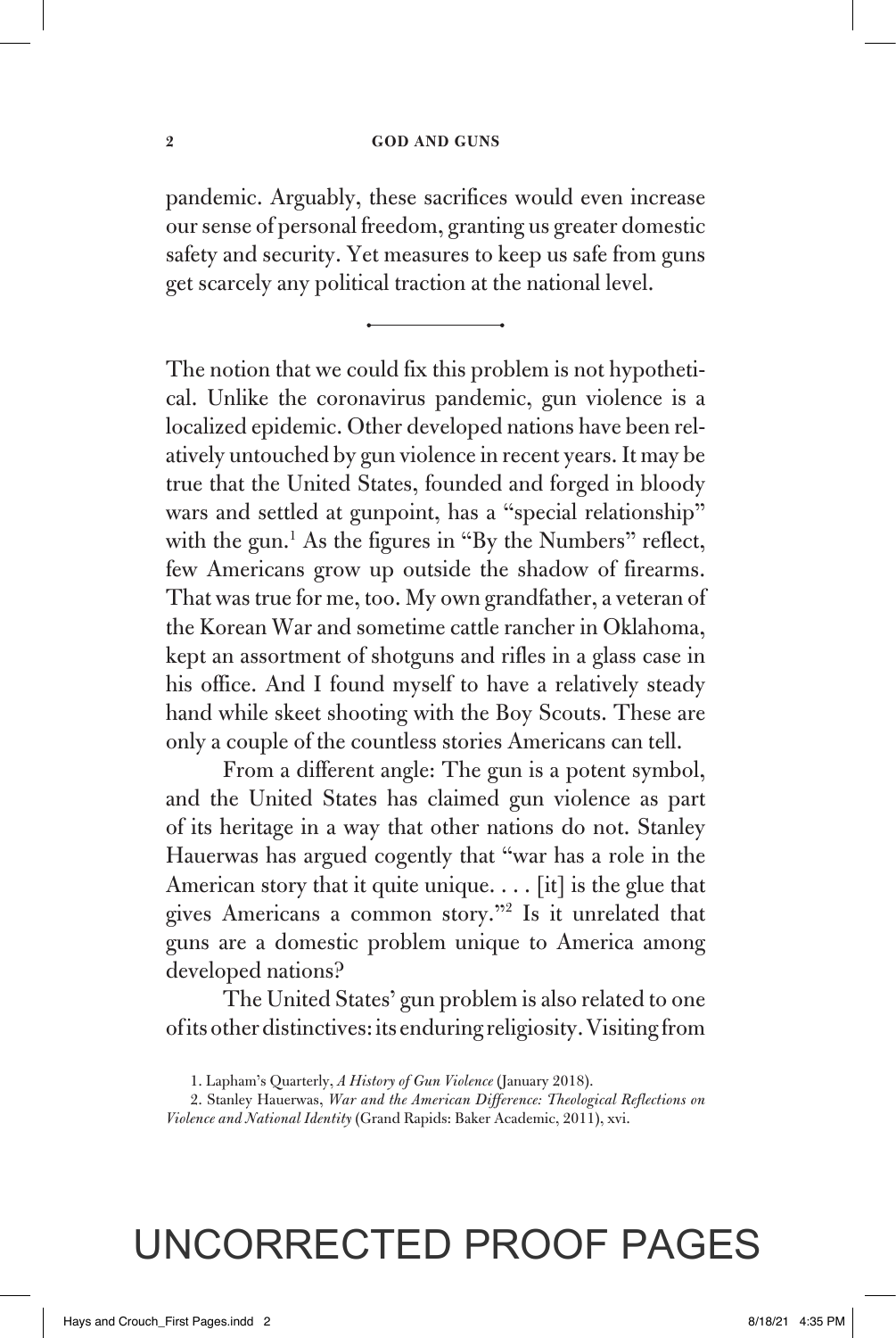#### **2 GOD AND GUNS**

pandemic. Arguably, these sacrifices would even increase our sense of personal freedom, granting us greater domestic safety and security. Yet measures to keep us safe from guns get scarcely any political traction at the national level.

The notion that we could fix this problem is not hypothetical. Unlike the coronavirus pandemic, gun violence is a localized epidemic. Other developed nations have been relatively untouched by gun violence in recent years. It may be true that the United States, founded and forged in bloody wars and settled at gunpoint, has a "special relationship" with the gun.<sup>1</sup> As the figures in "By the Numbers" reflect, few Americans grow up outside the shadow of firearms. That was true for me, too. My own grandfather, a veteran of the Korean War and sometime cattle rancher in Oklahoma, kept an assortment of shotguns and rifles in a glass case in his office. And I found myself to have a relatively steady hand while skeet shooting with the Boy Scouts. These are only a couple of the countless stories Americans can tell.

From a different angle: The gun is a potent symbol, and the United States has claimed gun violence as part of its heritage in a way that other nations do not. Stanley Hauerwas has argued cogently that "war has a role in the American story that it quite unique.  $\ldots$  [it] is the glue that gives Americans a common story."2 Is it unrelated that guns are a domestic problem unique to America among developed nations?

The United States' gun problem is also related to one of its other distinctives: its enduring religiosity. Visiting from

<sup>1.</sup> Lapham's Quarterly, *A History of Gun Violence* (January 2018).

<sup>2.</sup> Stanley Hauerwas, *War and the American Difference: Theological Reflections on Violence and National Identity* (Grand Rapids: Baker Academic, 2011), xvi.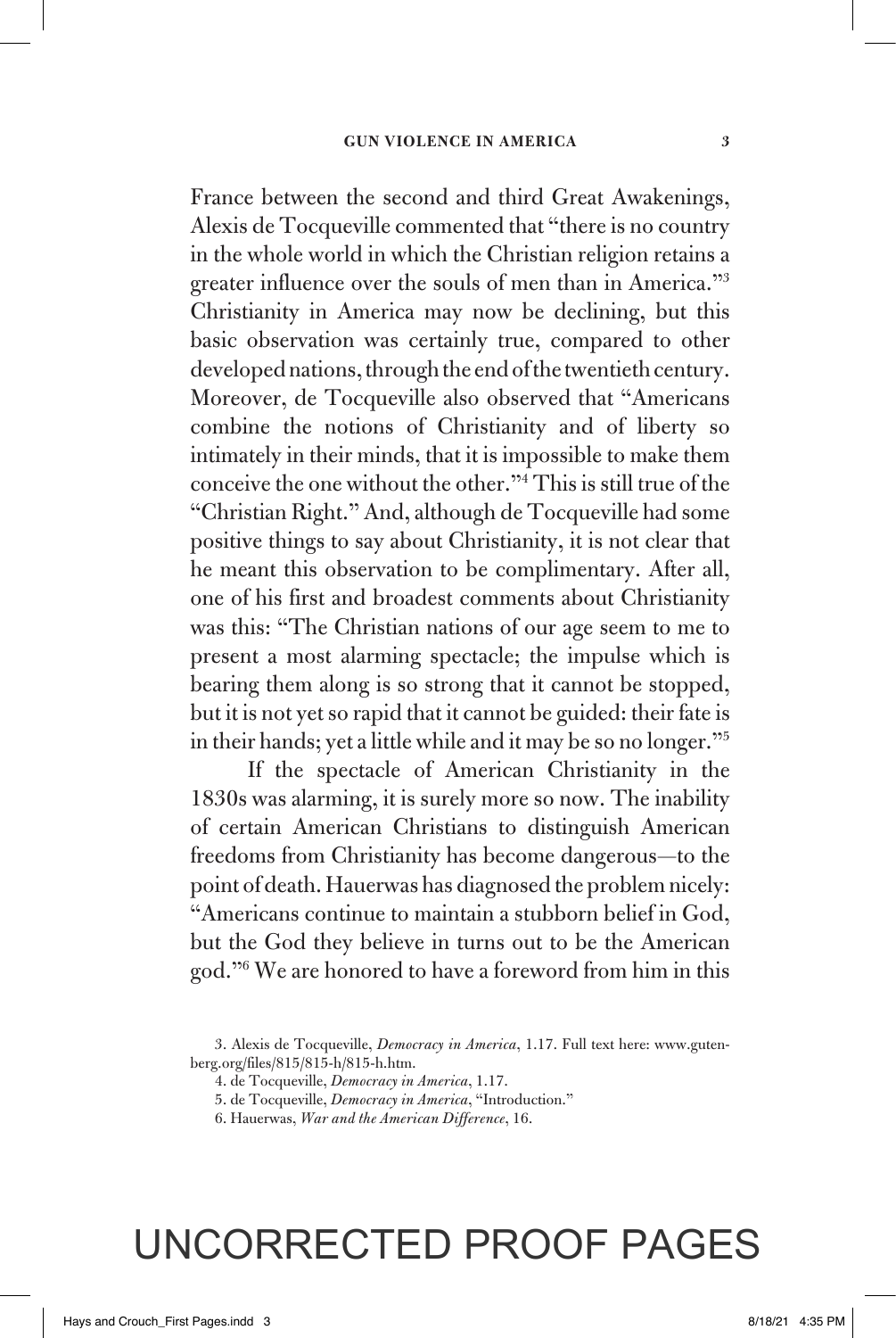France between the second and third Great Awakenings, Alexis de Tocqueville commented that "there is no country in the whole world in which the Christian religion retains a greater influence over the souls of men than in America."3 Christianity in America may now be declining, but this basic observation was certainly true, compared to other developed nations, through the end of the twentieth century. Moreover, de Tocqueville also observed that "Americans combine the notions of Christianity and of liberty so intimately in their minds, that it is impossible to make them conceive the one without the other."4 This is still true of the "Christian Right." And, although de Tocqueville had some positive things to say about Christianity, it is not clear that he meant this observation to be complimentary. After all, one of his first and broadest comments about Christianity was this: "The Christian nations of our age seem to me to present a most alarming spectacle; the impulse which is bearing them along is so strong that it cannot be stopped, but it is not yet so rapid that it cannot be guided: their fate is in their hands; yet a little while and it may be so no longer."5

If the spectacle of American Christianity in the 1830s was alarming, it is surely more so now. The inability of certain American Christians to distinguish American freedoms from Christianity has become dangerous—to the point of death. Hauerwas has diagnosed the problem nicely: "Americans continue to maintain a stubborn belief in God, but the God they believe in turns out to be the American god."6 We are honored to have a foreword from him in this

<sup>3.</sup> Alexis de Tocqueville, *Democracy in America*, 1.17. Full text here: www.gutenberg.org/files/815/815-h/815-h.htm.

<sup>4.</sup> de Tocqueville, *Democracy in America*, 1.17.

<sup>5.</sup> de Tocqueville, *Democracy in America*, "Introduction."

<sup>6.</sup> Hauerwas, *War and the American Difference*, 16.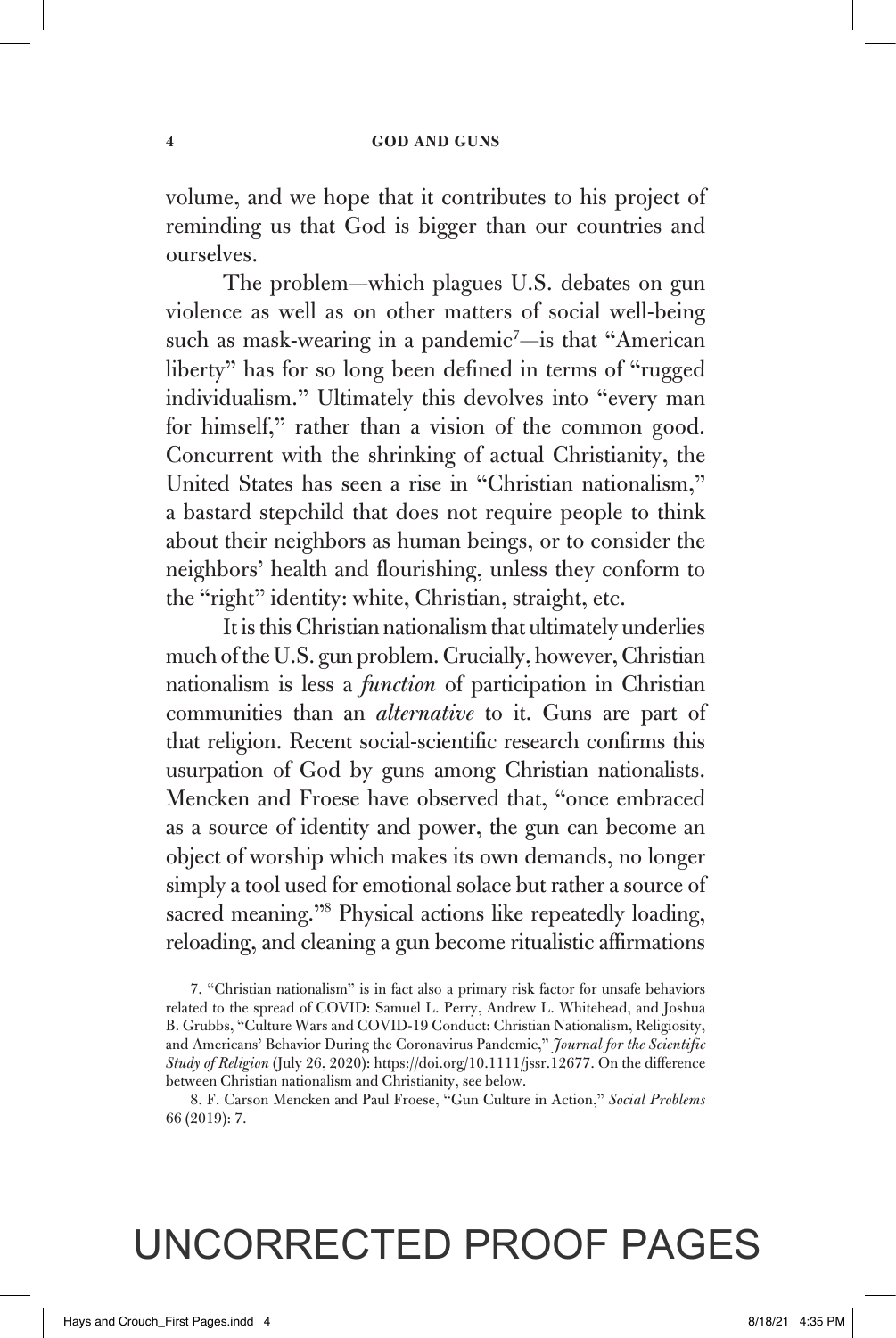volume, and we hope that it contributes to his project of reminding us that God is bigger than our countries and ourselves.

The problem—which plagues U.S. debates on gun violence as well as on other matters of social well-being such as mask-wearing in a pandemic<sup>7</sup>-is that "American liberty" has for so long been defined in terms of "rugged individualism." Ultimately this devolves into "every man for himself," rather than a vision of the common good. Concurrent with the shrinking of actual Christianity, the United States has seen a rise in "Christian nationalism," a bastard stepchild that does not require people to think about their neighbors as human beings, or to consider the neighbors' health and flourishing, unless they conform to the "right" identity: white, Christian, straight, etc.

It is this Christian nationalism that ultimately underlies much of the U.S. gun problem. Crucially, however, Christian nationalism is less a *function* of participation in Christian communities than an *alternative* to it. Guns are part of that religion. Recent social-scientific research confirms this usurpation of God by guns among Christian nationalists. Mencken and Froese have observed that, "once embraced as a source of identity and power, the gun can become an object of worship which makes its own demands, no longer simply a tool used for emotional solace but rather a source of sacred meaning."<sup>8</sup> Physical actions like repeatedly loading, reloading, and cleaning a gun become ritualistic affirmations

<sup>7. &</sup>quot;Christian nationalism" is in fact also a primary risk factor for unsafe behaviors related to the spread of COVID: Samuel L. Perry, Andrew L. Whitehead, and Joshua B. Grubbs, "Culture Wars and COVID-19 Conduct: Christian Nationalism, Religiosity, and Americans' Behavior During the Coronavirus Pandemic," *Journal for the Scientific Study of Religion* (July 26, 2020): https://doi.org/10.1111/jssr.12677. On the difference between Christian nationalism and Christianity, see below.

<sup>8.</sup> F. Carson Mencken and Paul Froese, "Gun Culture in Action," *Social Problems* 66 (2019): 7.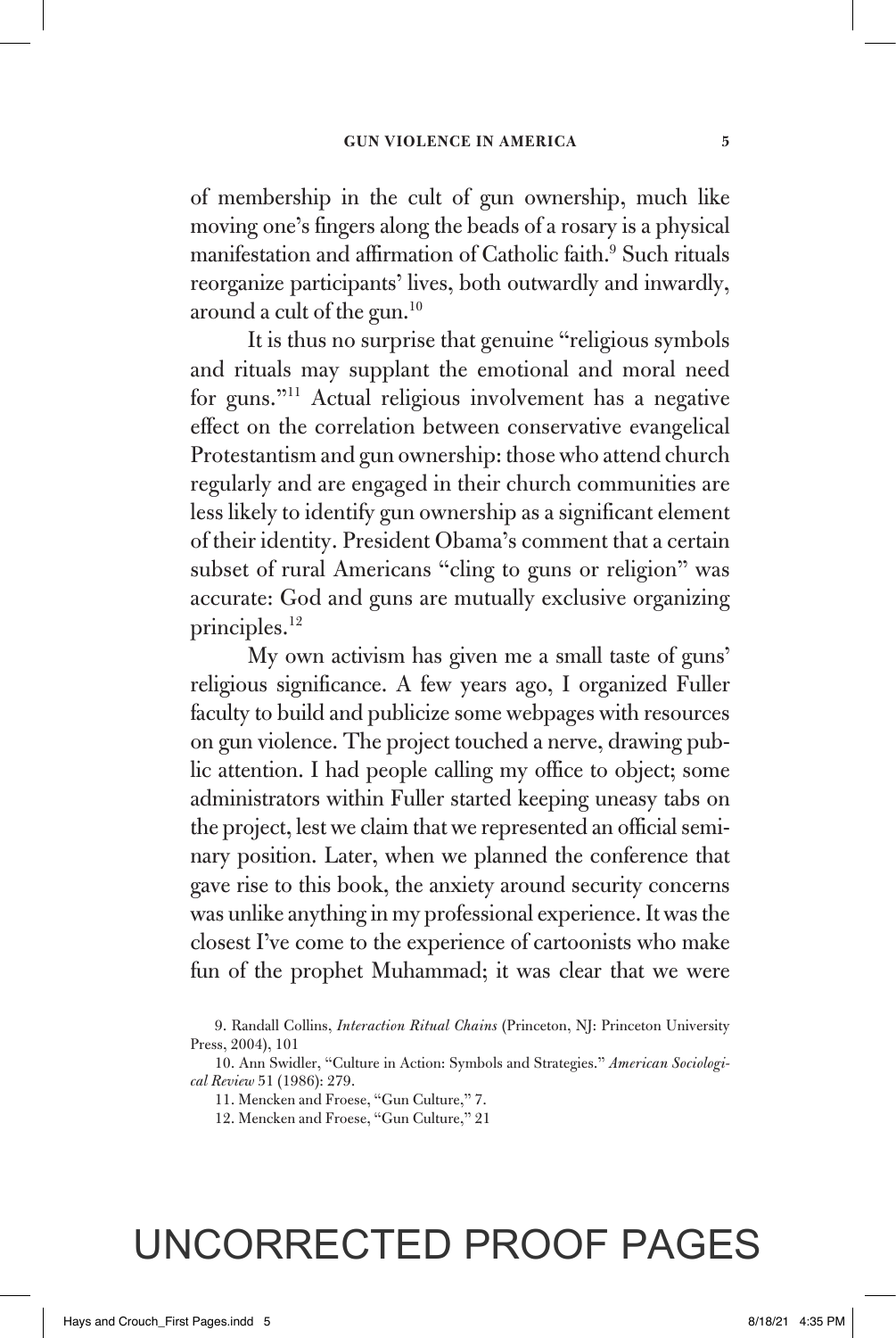of membership in the cult of gun ownership, much like moving one's fingers along the beads of a rosary is a physical manifestation and affirmation of Catholic faith.<sup>9</sup> Such rituals reorganize participants' lives, both outwardly and inwardly, around a cult of the gun.<sup>10</sup>

It is thus no surprise that genuine "religious symbols and rituals may supplant the emotional and moral need for guns."11 Actual religious involvement has a negative effect on the correlation between conservative evangelical Protestantism and gun ownership: those who attend church regularly and are engaged in their church communities are less likely to identify gun ownership as a significant element of their identity. President Obama's comment that a certain subset of rural Americans "cling to guns or religion" was accurate: God and guns are mutually exclusive organizing principles.<sup>12</sup>

My own activism has given me a small taste of guns' religious significance. A few years ago, I organized Fuller faculty to build and publicize some webpages with resources on gun violence. The project touched a nerve, drawing public attention. I had people calling my office to object; some administrators within Fuller started keeping uneasy tabs on the project, lest we claim that we represented an official seminary position. Later, when we planned the conference that gave rise to this book, the anxiety around security concerns was unlike anything in my professional experience. It was the closest I've come to the experience of cartoonists who make fun of the prophet Muhammad; it was clear that we were

<sup>9.</sup> Randall Collins, *Interaction Ritual Chains* (Princeton, NJ: Princeton University Press, 2004), 101

<sup>10.</sup> Ann Swidler, "Culture in Action: Symbols and Strategies." *American Sociological Review* 51 (1986): 279.

<sup>11.</sup> Mencken and Froese, "Gun Culture," 7.

<sup>12.</sup> Mencken and Froese, "Gun Culture," 21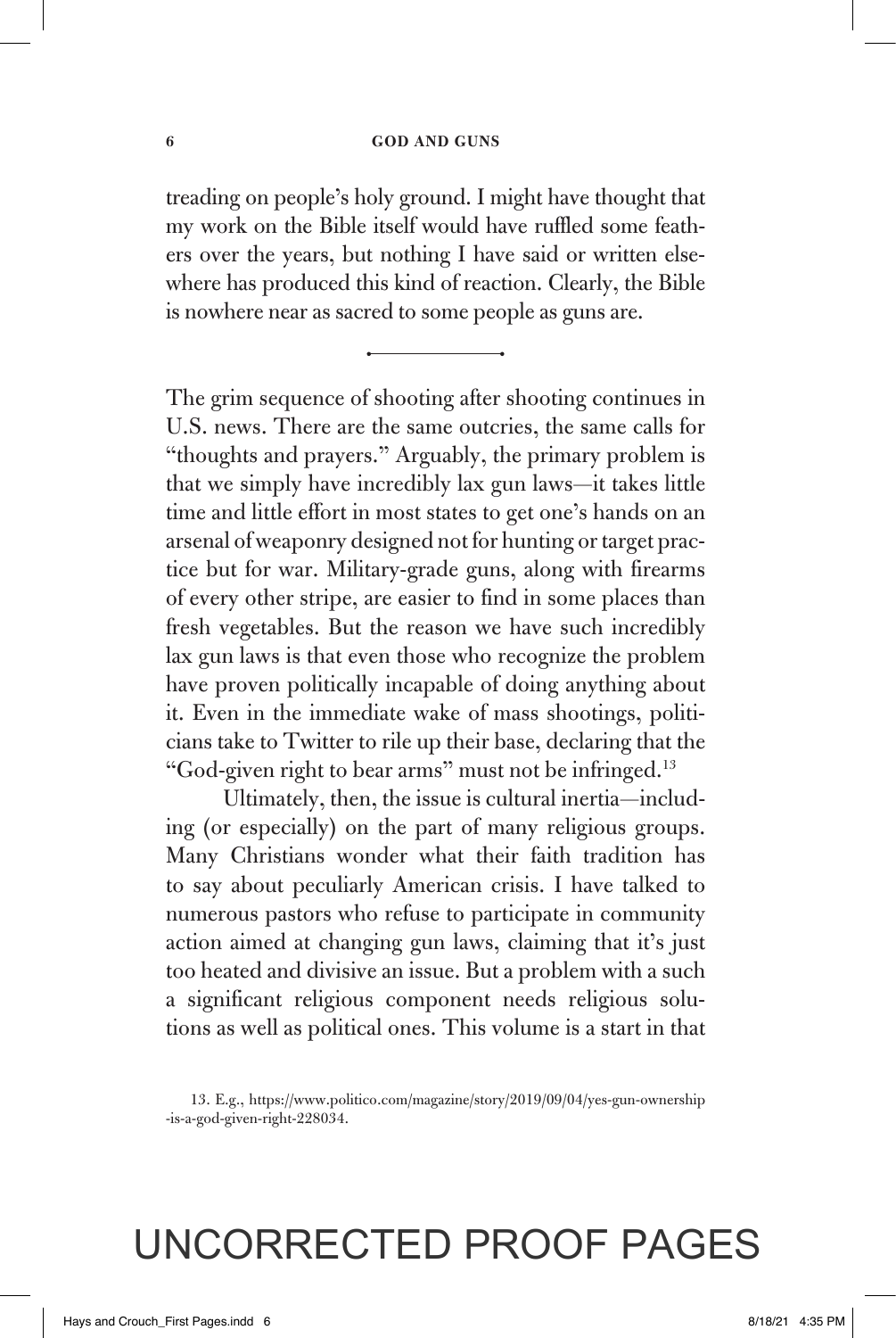#### **6 GOD AND GUNS**

treading on people's holy ground. I might have thought that my work on the Bible itself would have ruffled some feathers over the years, but nothing I have said or written elsewhere has produced this kind of reaction. Clearly, the Bible is nowhere near as sacred to some people as guns are.

The grim sequence of shooting after shooting continues in U.S. news. There are the same outcries, the same calls for "thoughts and prayers." Arguably, the primary problem is that we simply have incredibly lax gun laws—it takes little time and little effort in most states to get one's hands on an arsenal of weaponry designed not for hunting or target practice but for war. Military-grade guns, along with firearms of every other stripe, are easier to find in some places than fresh vegetables. But the reason we have such incredibly lax gun laws is that even those who recognize the problem have proven politically incapable of doing anything about it. Even in the immediate wake of mass shootings, politicians take to Twitter to rile up their base, declaring that the "God-given right to bear arms" must not be infringed.13

Ultimately, then, the issue is cultural inertia—including (or especially) on the part of many religious groups. Many Christians wonder what their faith tradition has to say about peculiarly American crisis. I have talked to numerous pastors who refuse to participate in community action aimed at changing gun laws, claiming that it's just too heated and divisive an issue. But a problem with a such a significant religious component needs religious solutions as well as political ones. This volume is a start in that

<sup>13.</sup> E.g., https://www.politico.com/magazine/story/2019/09/04/yes-gun-ownership -is-a-god-given-right-228034.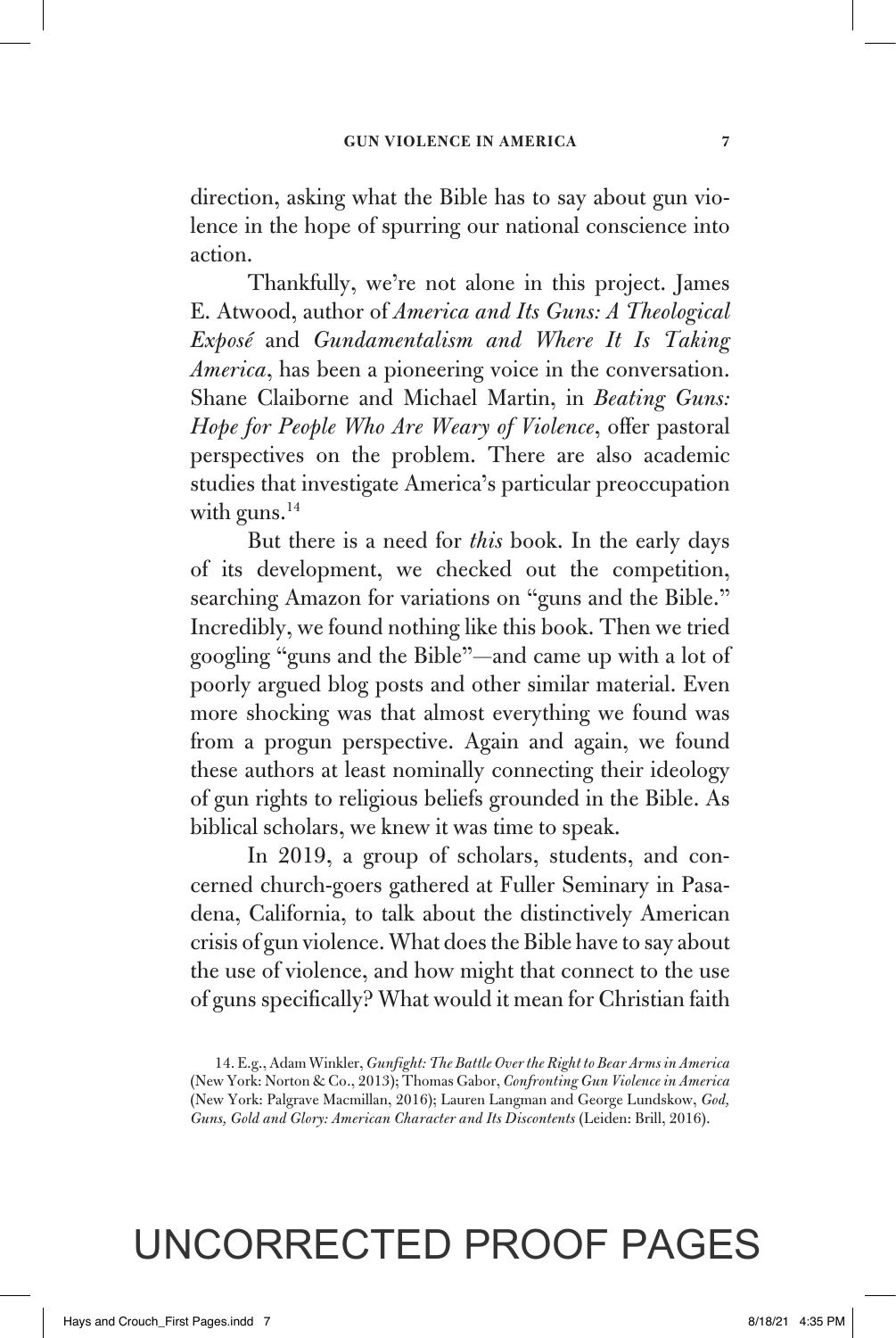direction, asking what the Bible has to say about gun violence in the hope of spurring our national conscience into action.

Thankfully, we're not alone in this project. James E. Atwood, author of *America and Its Guns: A Theological Exposé* and *Gundamentalism and Where It Is Taking America*, has been a pioneering voice in the conversation. Shane Claiborne and Michael Martin, in *Beating Guns: Hope for People Who Are Weary of Violence*, offer pastoral perspectives on the problem. There are also academic studies that investigate America's particular preoccupation with guns. $14$ 

But there is a need for *this* book. In the early days of its development, we checked out the competition, searching Amazon for variations on "guns and the Bible." Incredibly, we found nothing like this book. Then we tried googling "guns and the Bible"—and came up with a lot of poorly argued blog posts and other similar material. Even more shocking was that almost everything we found was from a progun perspective. Again and again, we found these authors at least nominally connecting their ideology of gun rights to religious beliefs grounded in the Bible. As biblical scholars, we knew it was time to speak.

In 2019, a group of scholars, students, and concerned church-goers gathered at Fuller Seminary in Pasadena, California, to talk about the distinctively American crisis of gun violence. What does the Bible have to say about the use of violence, and how might that connect to the use of guns specifically? What would it mean for Christian faith

14. E.g., Adam Winkler, *Gunfight: The Battle Over the Right to Bear Arms in America* (New York: Norton & Co., 2013); Thomas Gabor, *Confronting Gun Violence in America*  (New York: Palgrave Macmillan, 2016); Lauren Langman and George Lundskow, *God, Guns, Gold and Glory: American Character and Its Discontents* (Leiden: Brill, 2016).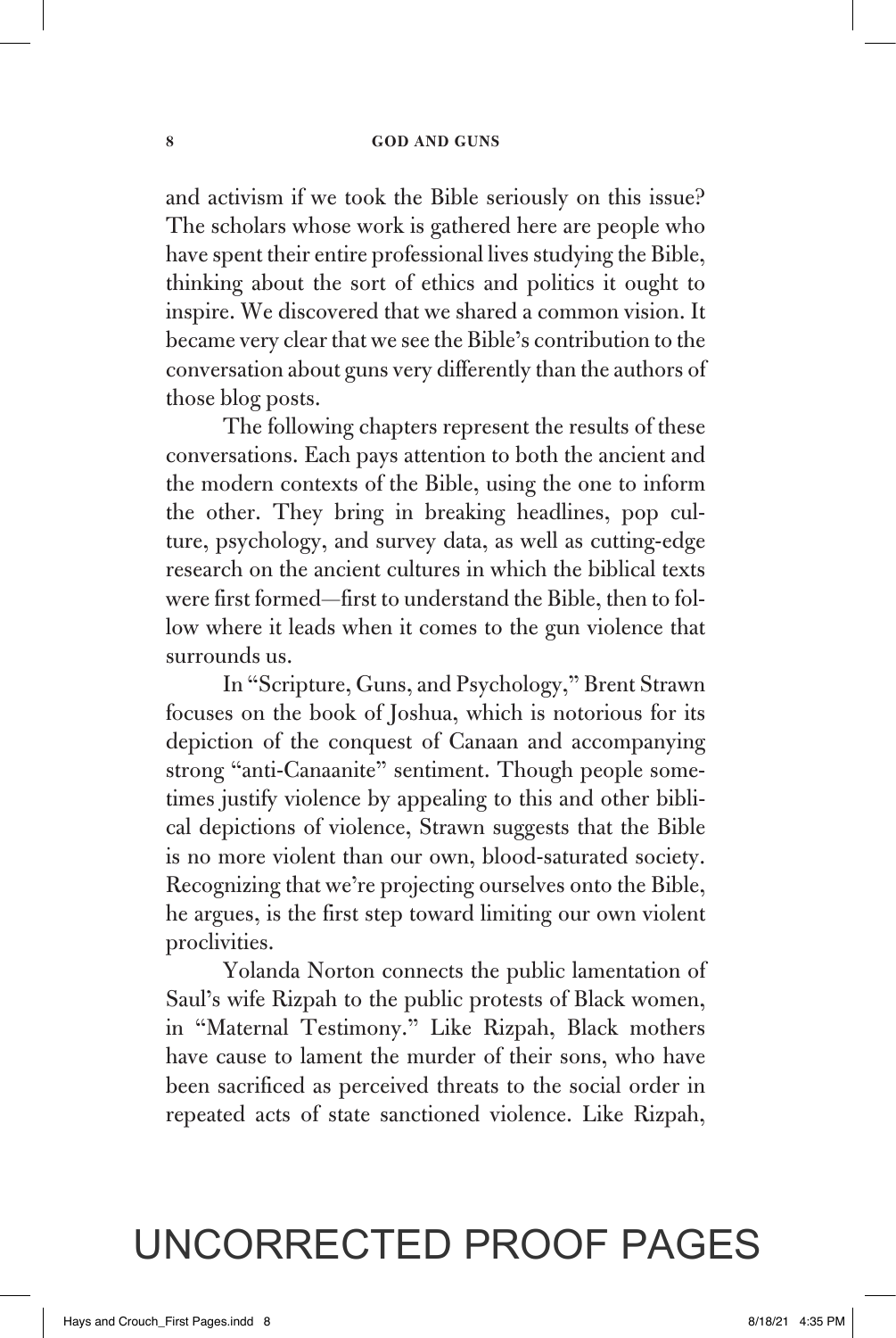and activism if we took the Bible seriously on this issue? The scholars whose work is gathered here are people who have spent their entire professional lives studying the Bible, thinking about the sort of ethics and politics it ought to inspire. We discovered that we shared a common vision. It became very clear that we see the Bible's contribution to the conversation about guns very differently than the authors of those blog posts.

The following chapters represent the results of these conversations. Each pays attention to both the ancient and the modern contexts of the Bible, using the one to inform the other. They bring in breaking headlines, pop culture, psychology, and survey data, as well as cutting-edge research on the ancient cultures in which the biblical texts were first formed—first to understand the Bible, then to follow where it leads when it comes to the gun violence that surrounds us.

In "Scripture, Guns, and Psychology," Brent Strawn focuses on the book of Joshua, which is notorious for its depiction of the conquest of Canaan and accompanying strong "anti-Canaanite" sentiment. Though people sometimes justify violence by appealing to this and other biblical depictions of violence, Strawn suggests that the Bible is no more violent than our own, blood-saturated society. Recognizing that we're projecting ourselves onto the Bible, he argues, is the first step toward limiting our own violent proclivities.

Yolanda Norton connects the public lamentation of Saul's wife Rizpah to the public protests of Black women, in "Maternal Testimony." Like Rizpah, Black mothers have cause to lament the murder of their sons, who have been sacrificed as perceived threats to the social order in repeated acts of state sanctioned violence. Like Rizpah,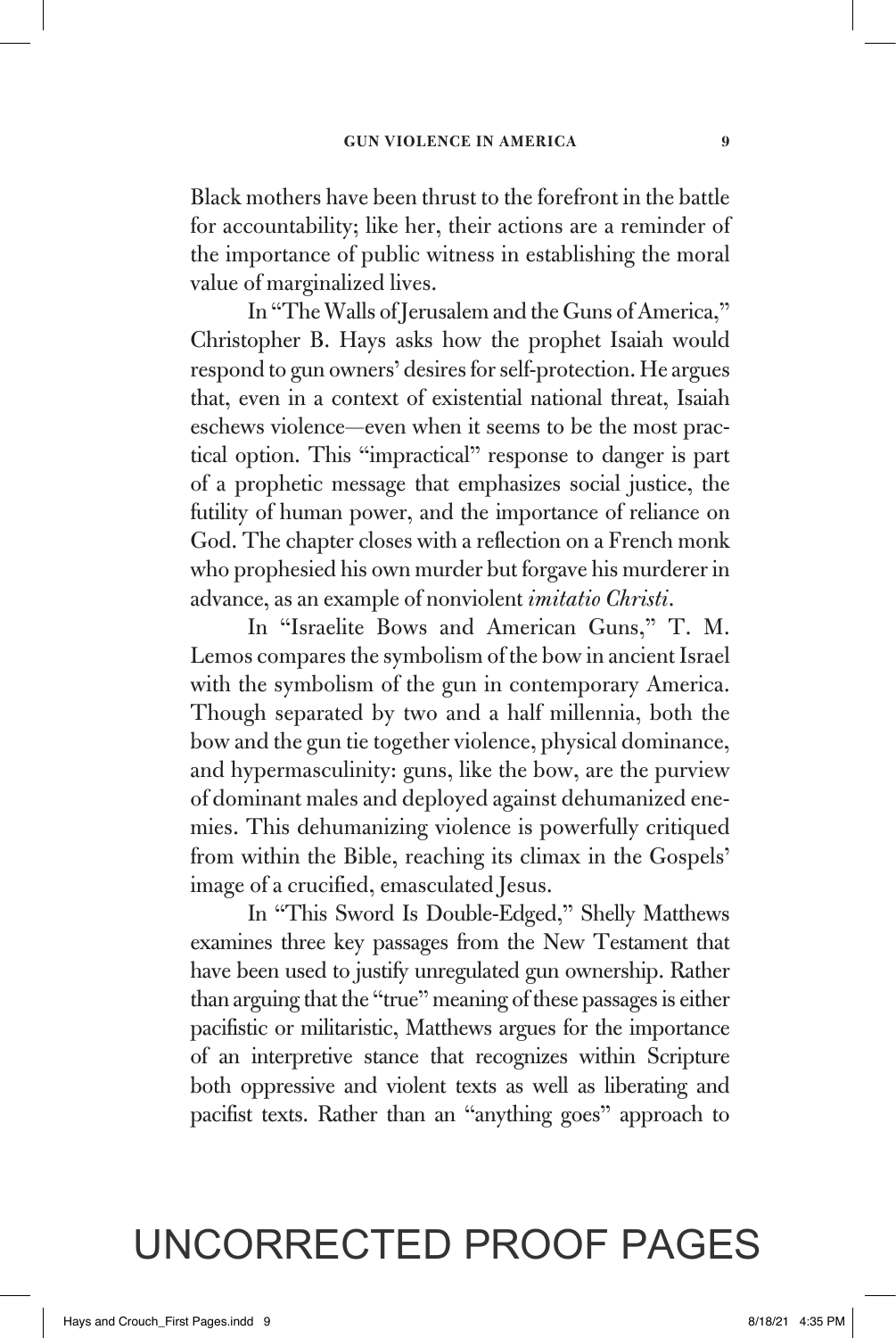Black mothers have been thrust to the forefront in the battle for accountability; like her, their actions are a reminder of the importance of public witness in establishing the moral value of marginalized lives.

In "The Walls of Jerusalem and the Guns of America," Christopher B. Hays asks how the prophet Isaiah would respond to gun owners' desires for self-protection. He argues that, even in a context of existential national threat, Isaiah eschews violence—even when it seems to be the most practical option. This "impractical" response to danger is part of a prophetic message that emphasizes social justice, the futility of human power, and the importance of reliance on God. The chapter closes with a reflection on a French monk who prophesied his own murder but forgave his murderer in advance, as an example of nonviolent *imitatio Christi*.

In "Israelite Bows and American Guns," T. M. Lemos compares the symbolism of the bow in ancient Israel with the symbolism of the gun in contemporary America. Though separated by two and a half millennia, both the bow and the gun tie together violence, physical dominance, and hypermasculinity: guns, like the bow, are the purview of dominant males and deployed against dehumanized enemies. This dehumanizing violence is powerfully critiqued from within the Bible, reaching its climax in the Gospels' image of a crucified, emasculated Jesus.

In "This Sword Is Double-Edged," Shelly Matthews examines three key passages from the New Testament that have been used to justify unregulated gun ownership. Rather than arguing that the "true" meaning of these passages is either pacifistic or militaristic, Matthews argues for the importance of an interpretive stance that recognizes within Scripture both oppressive and violent texts as well as liberating and pacifist texts. Rather than an "anything goes" approach to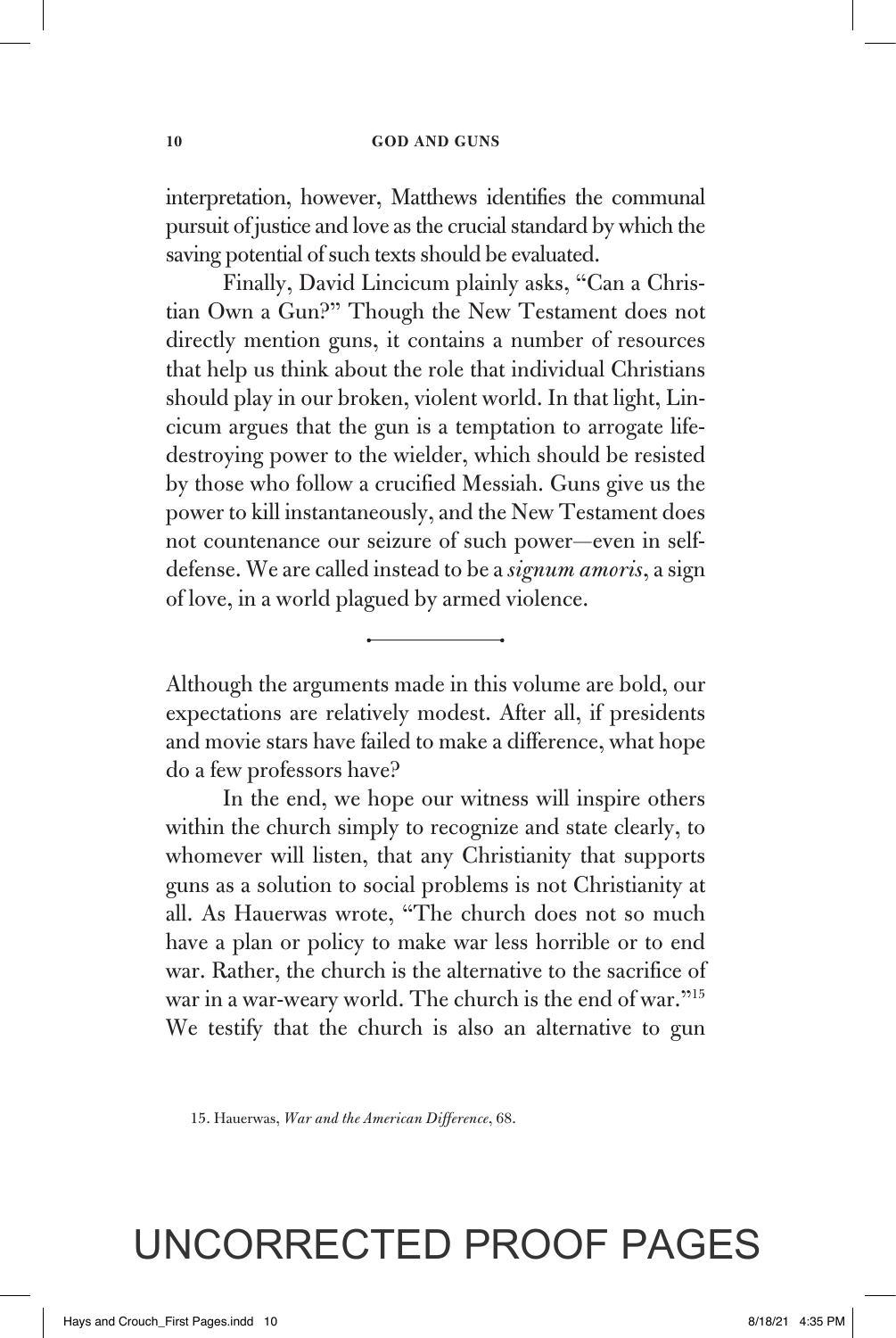interpretation, however, Matthews identifies the communal pursuit of justice and love as the crucial standard by which the saving potential of such texts should be evaluated.

Finally, David Lincicum plainly asks, "Can a Christian Own a Gun?" Though the New Testament does not directly mention guns, it contains a number of resources that help us think about the role that individual Christians should play in our broken, violent world. In that light, Lincicum argues that the gun is a temptation to arrogate lifedestroying power to the wielder, which should be resisted by those who follow a crucified Messiah. Guns give us the power to kill instantaneously, and the New Testament does not countenance our seizure of such power—even in selfdefense. We are called instead to be a *signum amoris*, a sign of love, in a world plagued by armed violence.

Although the arguments made in this volume are bold, our expectations are relatively modest. After all, if presidents and movie stars have failed to make a difference, what hope do a few professors have?

In the end, we hope our witness will inspire others within the church simply to recognize and state clearly, to whomever will listen, that any Christianity that supports guns as a solution to social problems is not Christianity at all. As Hauerwas wrote, "The church does not so much have a plan or policy to make war less horrible or to end war. Rather, the church is the alternative to the sacrifice of war in a war-weary world. The church is the end of war."15 We testify that the church is also an alternative to gun

15. Hauerwas, *War and the American Difference*, 68.